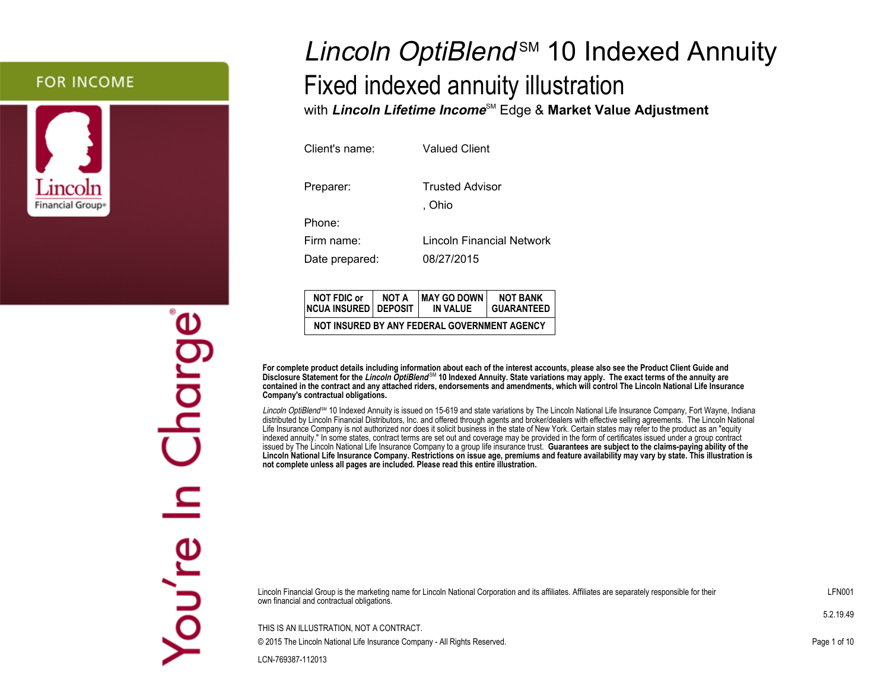### **FOR INCOME**



# Lincoln OptiBlend<sup>sM</sup> 10 Indexed Annuity Fixed indexed annuity illustrationwith **Lincoln Lifetime Income**SM Edge & **Market Value Adjustment**

| Client's name: | <b>Valued Client</b>             |
|----------------|----------------------------------|
| Preparer:      | <b>Trusted Advisor</b><br>. Ohio |
| Phone:         |                                  |
| Firm name:     | Lincoln Financial Network        |
| Date prepared: | 08/27/2015                       |

| <b>NOT FDIC or</b><br><b>NCUA INSURED   DEPOSIT</b> | NOT A | MAY GO DOWN<br>IN VALUE                      | <b>NOT BANK</b><br><b>GUARANTEED</b> |  |  |  |
|-----------------------------------------------------|-------|----------------------------------------------|--------------------------------------|--|--|--|
|                                                     |       | NOT INSURED BY ANY FEDERAL GOVERNMENT AGENCY |                                      |  |  |  |

**For complete product details including information about each of the interest accounts, please also see the Product Client Guide and Disclosure Statement for the Lincoln OptiBlend** SM **10 Indexed Annuity. State variations may apply. The exact terms of the annuity are contained in the contract and any attached riders, endorsements and amendments, which will control The Lincoln National Life InsuranceCompany's contractual obligations.**

Lincoln OptiBlend<sup>SM</sup> 10 Indexed Annuity is issued on 15-619 and state variations by The Lincoln National Life Insurance Company, Fort Wayne, Indiana distributed by Lincoln Financial Distributors, Inc. and offered through agents and broker/dealers with effective selling agreements. The Lincoln National Life Insurance Company is not authorized nor does it solicit business in the state of New York. Certain states may refer to the product as an "equity indexed annuity." In some states, contract terms are set out and coverage may be provided in the form of certificates issued under a group contract issued by The Lincoln National Life Insurance Company to a group life insurance trust. **Guarantees are subject to the claims-paying ability of the Lincoln National Life Insurance Company. Restrictions on issue age, premiums and feature availability may vary by state. This illustration isnot complete unless all pages are included. Please read this entire illustration.**

Lincoln Financial Group is the marketing name for Lincoln National Corporation and its affiliates. Affiliates are separately responsible for theirown financial and contractual obligations.

THIS IS AN ILLUSTRATION, NOT A CONTRACT.© 2015 The Lincoln National Life Insurance Company - All Rights Reserved.

LCN-769387-112013

Charge You're

LFN001

5.2.19.49

Page 1 of 10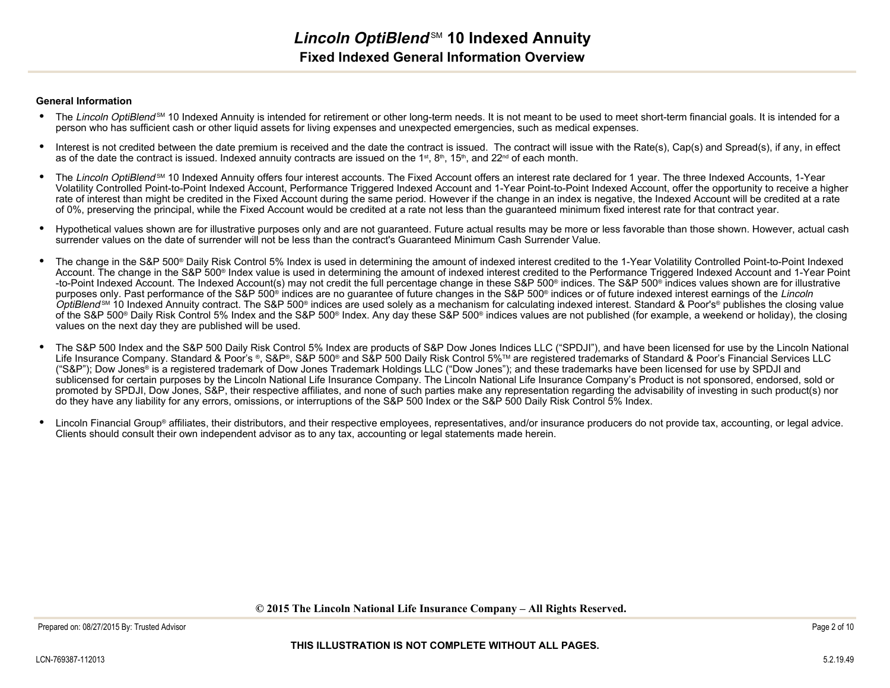#### **General Information**

- The Lincoln OptiBlend<sup>sM</sup> 10 Indexed Annuity is intended for retirement or other long-term needs. It is not meant to be used to meet short-term financial goals. It is intended for a person who has sufficient cash or other liquid assets for living expenses and unexpected emergencies, such as medical expenses.
- • Interest is not credited between the date premium is received and the date the contract is issued. The contract will issue with the Rate(s), Cap(s) and Spread(s), if any, in effect as of the date the contract is issued. Indexed annuity contracts are issued on the 1<sup>st</sup>, 8<sup>th</sup>, 15<sup>th</sup>, and 22<sup>nd</sup> of each month.
- •The Lincoln OptiBlend<sup>SM</sup> 10 Indexed Annuity offers four interest accounts. The Fixed Account offers an interest rate declared for 1 year. The three Indexed Accounts, 1-Year Volatility Controlled Point-to-Point Indexed Account, Performance Triggered Indexed Account and 1-Year Point-to-Point Indexed Account, offer the opportunity to receive a higherrate of interest than might be credited in the Fixed Account during the same period. However if the change in an index is negative, the Indexed Account will be credited at a rateof 0%, preserving the principal, while the Fixed Account would be credited at a rate not less than the guaranteed minimum fixed interest rate for that contract year.
- • Hypothetical values shown are for illustrative purposes only and are not guaranteed. Future actual results may be more or less favorable than those shown. However, actual cashsurrender values on the date of surrender will not be less than the contract's Guaranteed Minimum Cash Surrender Value.
- • The change in the S&P 500® Daily Risk Control 5% Index is used in determining the amount of indexed interest credited to the 1-Year Volatility Controlled Point-to-Point Indexed Account. The change in the S&P 500® Index value is used in determining the amount of indexed interest credited to the Performance Triggered Indexed Account and 1-Year Point-to-Point Indexed Account. The Indexed Account(s) may not credit the full percentage change in these S&P 500® indices. The S&P 500® indices values shown are for illustrativepurposes only. Past performance of the S&P 500<sup>®</sup> indices are no quarantee of future changes in the S&P 500<sup>®</sup> indices or of future indexed interest earnings of the Lincoln *OptiBlend* ™ 10 Indexed Annuity contract. The S&P 500® indices are used solely as a mechanism for calculating indexed interest. Standard & Poor's® publishes the closing value of the S&P 500® Daily Risk Control 5% Index and the S&P 500® Index. Any day these S&P 500® indices values are not published (for example, a weekend or holiday), the closingvalues on the next day they are published will be used.
- $\bullet$  The S&P 500 Index and the S&P 500 Daily Risk Control 5% Index are products of S&P Dow Jones Indices LLC ("SPDJI"), and have been licensed for use by the Lincoln National Life Insurance Company. Standard & Poor's ®, S&P®, S&P 500® and S&P 500 Daily Risk Control 5%™ are registered trademarks of Standard & Poor's Financial Services LLC ("S&P"); Dow Jones® is a registered trademark of Dow Jones Trademark Holdings LLC ("Dow Jones"); and these trademarks have been licensed for use by SPDJI and sublicensed for certain purposes by the Lincoln National Life Insurance Company. The Lincoln National Life Insurance Company's Product is not sponsored, endorsed, sold or promoted by SPDJI, Dow Jones, S&P, their respective affiliates, and none of such parties make any representation regarding the advisability of investing in such product(s) nordo they have any liability for any errors, omissions, or interruptions of the S&P 500 Index or the S&P 500 Daily Risk Control 5% Index.
- •Lincoln Financial Group® affiliates, their distributors, and their respective employees, representatives, and/or insurance producers do not provide tax, accounting, or legal advice. Clients should consult their own independent advisor as to any tax, accounting or legal statements made herein.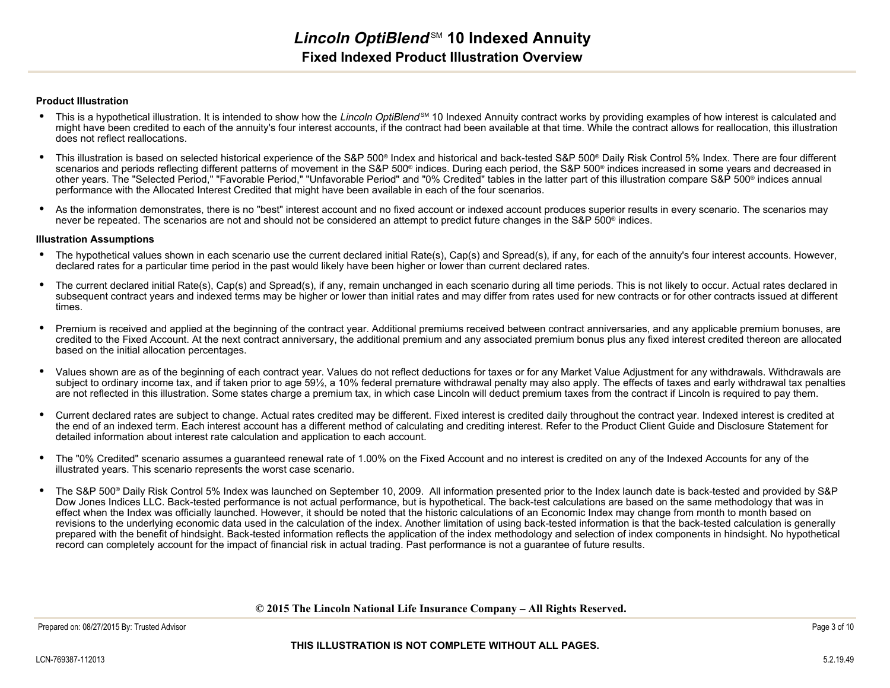#### **Product Illustration**

- This is a hypothetical illustration. It is intended to show how the Lincoln OptiBlend<sup>sM</sup> 10 Indexed Annuity contract works by providing examples of how interest is calculated and  $\bullet$  might have been credited to each of the annuity's four interest accounts, if the contract had been available at that time. While the contract allows for reallocation, this illustrationdoes not reflect reallocations.
- •This illustration is based on selected historical experience of the S&P 500<sup>®</sup> Index and historical and back-tested S&P 500<sup>®</sup> Daily Risk Control 5% Index. There are four different scenarios and periods reflecting different patterns of movement in the S&P 500® indices. During each period, the S&P 500® indices increased in some years and decreased in other years. The "Selected Period," "Favorable Period," "Unfavorable Period" and "0% Credited" tables in the latter part of this illustration compare S&P 500® indices annualperformance with the Allocated Interest Credited that might have been available in each of the four scenarios.
- •As the information demonstrates, there is no "best" interest account and no fixed account or indexed account produces superior results in every scenario. The scenarios may never be repeated. The scenarios are not and should not be considered an attempt to predict future changes in the S&P 500® indices.

#### **Illustration Assumptions**

- $\bullet$  The hypothetical values shown in each scenario use the current declared initial Rate(s), Cap(s) and Spread(s), if any, for each of the annuity's four interest accounts. However, declared rates for a particular time period in the past would likely have been higher or lower than current declared rates.
- $\bullet$  The current declared initial Rate(s), Cap(s) and Spread(s), if any, remain unchanged in each scenario during all time periods. This is not likely to occur. Actual rates declared in subsequent contract years and indexed terms may be higher or lower than initial rates and may differ from rates used for new contracts or for other contracts issued at differenttimes.
- $\bullet$  Premium is received and applied at the beginning of the contract year. Additional premiums received between contract anniversaries, and any applicable premium bonuses, are credited to the Fixed Account. At the next contract anniversary, the additional premium and any associated premium bonus plus any fixed interest credited thereon are allocatedbased on the initial allocation percentages.
- • Values shown are as of the beginning of each contract year. Values do not reflect deductions for taxes or for any Market Value Adjustment for any withdrawals. Withdrawals are subject to ordinary income tax, and if taken prior to age 59½, a 10% federal premature withdrawal penalty may also apply. The effects of taxes and early withdrawal tax penaltiesare not reflected in this illustration. Some states charge a premium tax, in which case Lincoln will deduct premium taxes from the contract if Lincoln is required to pay them.
- • Current declared rates are subject to change. Actual rates credited may be different. Fixed interest is credited daily throughout the contract year. Indexed interest is credited at the end of an indexed term. Each interest account has a different method of calculating and crediting interest. Refer to the Product Client Guide and Disclosure Statement fordetailed information about interest rate calculation and application to each account.
- $\bullet$  The "0% Credited" scenario assumes a guaranteed renewal rate of 1.00% on the Fixed Account and no interest is credited on any of the Indexed Accounts for any of theillustrated years. This scenario represents the worst case scenario.
- • The S&P 500® Daily Risk Control 5% Index was launched on September 10, 2009. All information presented prior to the Index launch date is back-tested and provided by S&PDow Jones Indices LLC. Back-tested performance is not actual performance, but is hypothetical. The back-test calculations are based on the same methodology that was in effect when the Index was officially launched. However, it should be noted that the historic calculations of an Economic Index may change from month to month based on revisions to the underlying economic data used in the calculation of the index. Another limitation of using back-tested information is that the back-tested calculation is generally prepared with the benefit of hindsight. Back-tested information reflects the application of the index methodology and selection of index components in hindsight. No hypotheticalrecord can completely account for the impact of financial risk in actual trading. Past performance is not a guarantee of future results.

#### **© 2015 The Lincoln National Life Insurance Company – All Rights Reserved.**

Prepared on: 08/27/2015 By: Trusted Advisor

#### **THIS ILLUSTRATION IS NOT COMPLETE WITHOUT ALL PAGES.**

Page 3 of 10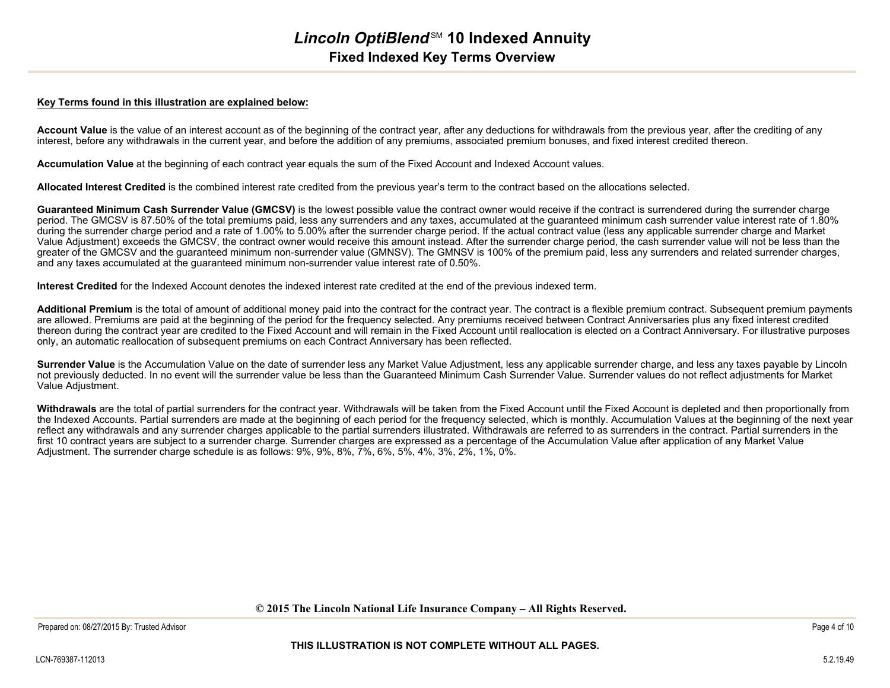#### **Key Terms found in this illustration are explained below:**

Account Value is the value of an interest account as of the beginning of the contract year, after any deductions for withdrawals from the previous year, after the crediting of any interest, before any withdrawals in the current year, and before the addition of any premiums, associated premium bonuses, and fixed interest credited thereon.

**Accumulation Value** at the beginning of each contract year equals the sum of the Fixed Account and Indexed Account values.

**Allocated Interest Credited** is the combined interest rate credited from the previous year's term to the contract based on the allocations selected.

Guaranteed Minimum Cash Surrender Value (GMCSV) is the lowest possible value the contract owner would receive if the contract is surrendered during the surrender charge period. The GMCSV is 87.50% of the total premiums paid, less any surrenders and any taxes, accumulated at the guaranteed minimum cash surrender value interest rate of 1.80% during the surrender charge period and a rate of 1.00% to 5.00% after the surrender charge period. If the actual contract value (less any applicable surrender charge and Market Value Adjustment) exceeds the GMCSV, the contract owner would receive this amount instead. After the surrender charge period, the cash surrender value will not be less than the greater of the GMCSV and the guaranteed minimum non-surrender value (GMNSV). The GMNSV is 100% of the premium paid, less any surrenders and related surrender charges,and any taxes accumulated at the guaranteed minimum non-surrender value interest rate of 0.50%.

**Interest Credited** for the Indexed Account denotes the indexed interest rate credited at the end of the previous indexed term.

Additional Premium is the total of amount of additional money paid into the contract for the contract year. The contract is a flexible premium contract. Subsequent premium payments are allowed. Premiums are paid at the beginning of the period for the frequency selected. Any premiums received between Contract Anniversaries plus any fixed interest credited thereon during the contract year are credited to the Fixed Account and will remain in the Fixed Account until reallocation is elected on a Contract Anniversary. For illustrative purposesonly, an automatic reallocation of subsequent premiums on each Contract Anniversary has been reflected.

**Surrender Value** is the Accumulation Value on the date of surrender less any Market Value Adjustment, less any applicable surrender charge, and less any taxes payable by Lincolnnot previously deducted. In no event will the surrender value be less than the Guaranteed Minimum Cash Surrender Value. Surrender values do not reflect adjustments for MarketValue Adjustment.

Withdrawals are the total of partial surrenders for the contract year. Withdrawals will be taken from the Fixed Account until the Fixed Account is depleted and then proportionally from the Indexed Accounts. Partial surrenders are made at the beginning of each period for the frequency selected, which is monthly. Accumulation Values at the beginning of the next yearreflect any withdrawals and any surrender charges applicable to the partial surrenders illustrated. Withdrawals are referred to as surrenders in the contract. Partial surrenders in thefirst 10 contract years are subject to a surrender charge. Surrender charges are expressed as a percentage of the Accumulation Value after application of any Market Value Adjustment. The surrender charge schedule is as follows: 9%, 9%, 8%, 7%, 6%, 5%, 4%, 3%, 2%, 1%, 0%.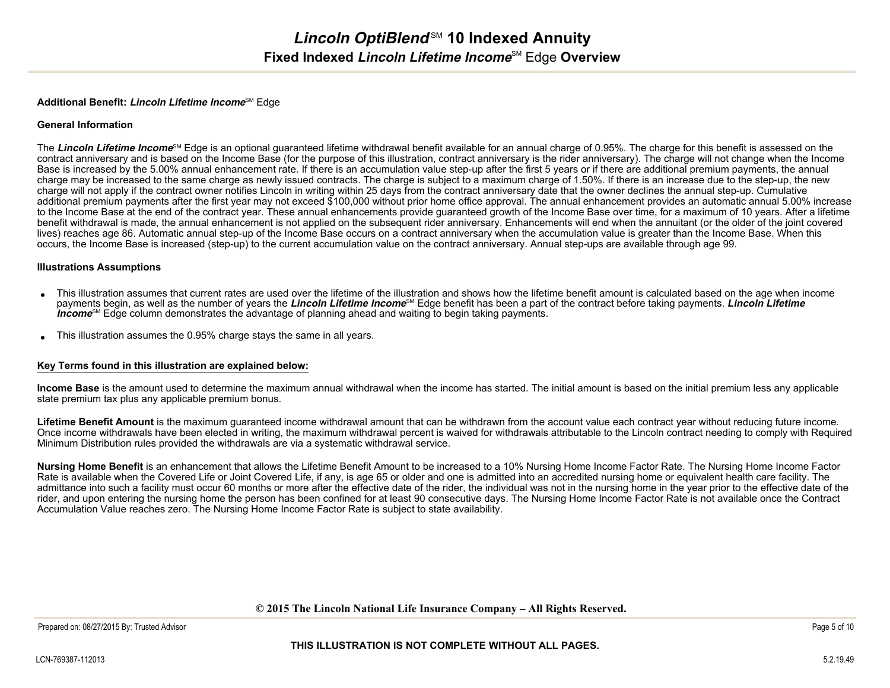#### **Additional Benefit: Lincoln Lifetime Income**SM Edge

#### **General Information**

The Lincoln Lifetime Income<sup>§M</sup> Edge is an optional guaranteed lifetime withdrawal benefit available for an annual charge of 0.95%. The charge for this benefit is assessed on the contract anniversary and is based on the Income Base (for the purpose of this illustration, contract anniversary is the rider anniversary). The charge will not change when the IncomeBase is increased by the 5.00% annual enhancement rate. If there is an accumulation value step-up after the first 5 years or if there are additional premium payments, the annual charge may be increased to the same charge as newly issued contracts. The charge is subject to a maximum charge of 1.50%. If there is an increase due to the step-up, the newcharge will not apply if the contract owner notifies Lincoln in writing within 25 days from the contract anniversary date that the owner declines the annual step-up. Cumulative additional premium payments after the first year may not exceed \$100,000 without prior home office approval. The annual enhancement provides an automatic annual 5.00% increase to the Income Base at the end of the contract year. These annual enhancements provide guaranteed growth of the Income Base over time, for a maximum of 10 years. After a lifetime benefit withdrawal is made, the annual enhancement is not applied on the subsequent rider anniversary. Enhancements will end when the annuitant (or the older of the joint coveredlives) reaches age 86. Automatic annual step-up of the Income Base occurs on a contract anniversary when the accumulation value is greater than the Income Base. When thisoccurs, the Income Base is increased (step-up) to the current accumulation value on the contract anniversary. Annual step-ups are available through age 99.

#### **Illustrations Assumptions**

- • This illustration assumes that current rates are used over the lifetime of the illustration and shows how the lifetime benefit amount is calculated based on the age when income payments begin, as well as the number of years the **Lincoln Lifetime Income**SM Edge benefit has been a part of the contract before taking payments. **Lincoln LifetimeIncome**<sup>SM</sup> Edge column demonstrates the advantage of planning ahead and waiting to begin taking payments.
- •This illustration assumes the 0.95% charge stays the same in all years.

#### **Key Terms found in this illustration are explained below:**

**Income Base** is the amount used to determine the maximum annual withdrawal when the income has started. The initial amount is based on the initial premium less any applicablestate premium tax plus any applicable premium bonus.

Lifetime Benefit Amount is the maximum quaranteed income withdrawal amount that can be withdrawn from the account value each contract year without reducing future income. Once income withdrawals have been elected in writing, the maximum withdrawal percent is waived for withdrawals attributable to the Lincoln contract needing to comply with RequiredMinimum Distribution rules provided the withdrawals are via a systematic withdrawal service.

**Nursing Home Benefit** is an enhancement that allows the Lifetime Benefit Amount to be increased to a 10% Nursing Home Income Factor Rate. The Nursing Home Income FactorRate is available when the Covered Life or Joint Covered Life, if any, is age 65 or older and one is admitted into an accredited nursing home or equivalent health care facility. The admittance into such a facility must occur 60 months or more after the effective date of the rider, the individual was not in the nursing home in the year prior to the effective date of the rider, and upon entering the nursing home the person has been confined for at least 90 consecutive days. The Nursing Home Income Factor Rate is not available once the ContractAccumulation Value reaches zero. The Nursing Home Income Factor Rate is subject to state availability.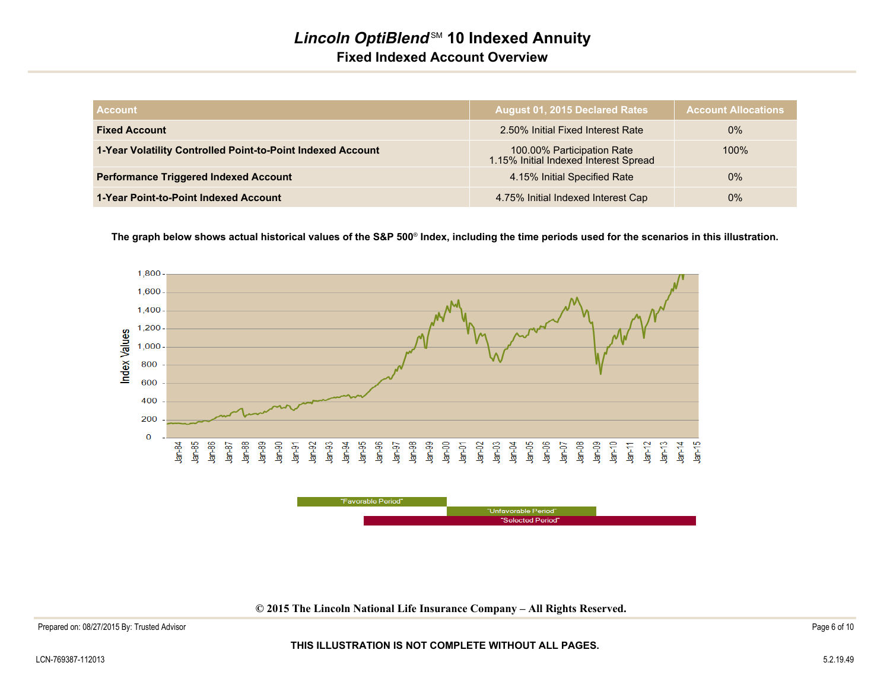## **Lincoln OptiBlend<sup>SM</sup> 10 Indexed Annuity Fixed Indexed Account Overview**

| <b>Account</b>                                              | August 01, 2015 Declared Rates                                      | <b>Account Allocations</b> |
|-------------------------------------------------------------|---------------------------------------------------------------------|----------------------------|
| <b>Fixed Account</b>                                        | 2.50% Initial Fixed Interest Rate                                   | $0\%$                      |
| 1-Year Volatility Controlled Point-to-Point Indexed Account | 100.00% Participation Rate<br>1.15% Initial Indexed Interest Spread | 100%                       |
| <b>Performance Triggered Indexed Account</b>                | 4.15% Initial Specified Rate                                        | $0\%$                      |
| 1-Year Point-to-Point Indexed Account                       | 4.75% Initial Indexed Interest Cap                                  | $0\%$                      |

**The graph below shows actual historical values of the S&P 500**® **Index, including the time periods used for the scenarios in this illustration.**



**© 2015 The Lincoln National Life Insurance Company – All Rights Reserved.**

#### **THIS ILLUSTRATION IS NOT COMPLETE WITHOUT ALL PAGES.**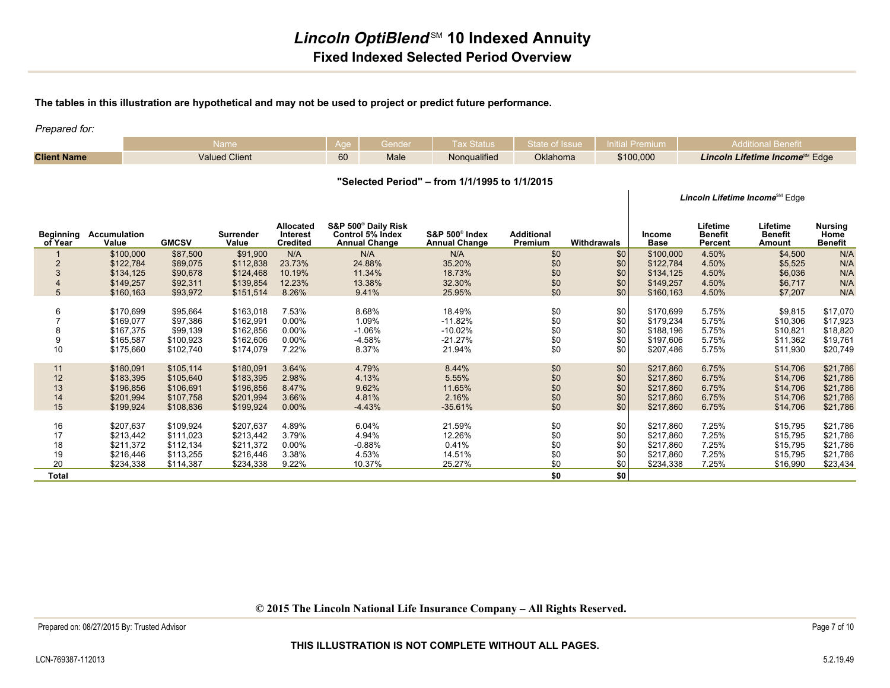### **The tables in this illustration are hypothetical and may not be used to project or predict future performance.**

Prepared for:

|                    | _____<br>Name        | ane | enae | 5ialus       |          |           |                                            |
|--------------------|----------------------|-----|------|--------------|----------|-----------|--------------------------------------------|
| <b>Client Name</b> | <b>Valued Client</b> | 60  | Male | Nongualified | Oklahoma | \$100,000 | Lincoln Lifetime Income <sup>SM</sup> Edge |

**"Selected Period" – from 1/1/1995 to 1/1/2015**

Lincoln Lifetime Income<sup>SM</sup> Edge

| Beginning<br>of Year                | Accumulation<br>Value                                         | <b>GMCSV</b>                                                  | Surrender<br>Value                                            | Allocated<br>Interest<br><b>Credited</b>     | S&P 500 <sup>®</sup> Daily Risk<br>Control 5% Index<br><b>Annual Change</b> | $S\&P 500^\circ$ Index<br><b>Annual Change</b>          | <b>Additional</b><br>Premium           | Withdrawals                            | Income<br><b>Base</b>                                         | Lifetime<br><b>Benefit</b><br>Percent     | Lifetime<br><b>Benefit</b><br>Amount                     | <b>Nursing</b><br>Home<br><b>Benefit</b>                 |
|-------------------------------------|---------------------------------------------------------------|---------------------------------------------------------------|---------------------------------------------------------------|----------------------------------------------|-----------------------------------------------------------------------------|---------------------------------------------------------|----------------------------------------|----------------------------------------|---------------------------------------------------------------|-------------------------------------------|----------------------------------------------------------|----------------------------------------------------------|
|                                     | \$100,000                                                     | \$87,500                                                      | \$91,900                                                      | N/A                                          | N/A                                                                         | N/A                                                     | \$0                                    | \$0                                    | \$100,000                                                     | 4.50%                                     | \$4,500                                                  | N/A                                                      |
| $\overline{2}$                      | \$122,784                                                     | \$89,075                                                      | \$112,838                                                     | 23.73%                                       | 24.88%                                                                      | 35.20%                                                  | \$0                                    | \$0                                    | \$122,784                                                     | 4.50%                                     | \$5,525                                                  | N/A                                                      |
|                                     | \$134,125                                                     | \$90,678                                                      | \$124,468                                                     | 10.19%                                       | 11.34%                                                                      | 18.73%                                                  | \$0                                    | \$0                                    | \$134,125                                                     | 4.50%                                     | \$6,036                                                  | N/A                                                      |
|                                     | \$149,257                                                     | \$92,311                                                      | \$139,854                                                     | 12.23%                                       | 13.38%                                                                      | 32.30%                                                  | \$0                                    | \$0                                    | \$149,257                                                     | 4.50%                                     | \$6,717                                                  | N/A                                                      |
| 5                                   | \$160,163                                                     | \$93,972                                                      | \$151,514                                                     | 8.26%                                        | 9.41%                                                                       | 25.95%                                                  | \$0                                    | \$0                                    | \$160,163                                                     | 4.50%                                     | \$7,207                                                  | N/A                                                      |
| 6<br>10                             | \$170,699<br>\$169,077<br>\$167,375<br>\$165,587<br>\$175,660 | \$95,664<br>\$97,386<br>\$99,139<br>\$100,923<br>\$102,740    | \$163,018<br>\$162,991<br>\$162,856<br>\$162,606<br>\$174,079 | 7.53%<br>0.00%<br>0.00%<br>$0.00\%$<br>7.22% | 8.68%<br>1.09%<br>$-1.06%$<br>$-4.58%$<br>8.37%                             | 18.49%<br>$-11.82%$<br>$-10.02%$<br>$-21.27%$<br>21.94% | \$0<br>\$0<br>\$0<br>\$0<br>\$0        | \$0<br>\$0<br>\$0<br>\$0<br>\$0        | \$170,699<br>\$179,234<br>\$188,196<br>\$197,606<br>\$207,486 | 5.75%<br>5.75%<br>5.75%<br>5.75%<br>5.75% | \$9,815<br>\$10,306<br>\$10,821<br>\$11,362<br>\$11,930  | \$17,070<br>\$17,923<br>\$18,820<br>\$19,761<br>\$20,749 |
| 11<br>12<br>13<br>14<br>15          | \$180,091<br>\$183,395<br>\$196,856<br>\$201,994<br>\$199,924 | \$105,114<br>\$105,640<br>\$106,691<br>\$107,758<br>\$108,836 | \$180,091<br>\$183,395<br>\$196,856<br>\$201,994<br>\$199,924 | 3.64%<br>2.98%<br>8.47%<br>3.66%<br>0.00%    | 4.79%<br>4.13%<br>9.62%<br>4.81%<br>$-4.43%$                                | 8.44%<br>5.55%<br>11.65%<br>2.16%<br>$-35.61%$          | \$0<br>\$0<br>\$0<br>\$0<br>\$0        | \$0<br>\$0<br>\$0<br>\$0<br>\$0        | \$217,860<br>\$217,860<br>\$217,860<br>\$217,860<br>\$217,860 | 6.75%<br>6.75%<br>6.75%<br>6.75%<br>6.75% | \$14,706<br>\$14,706<br>\$14,706<br>\$14,706<br>\$14,706 | \$21,786<br>\$21,786<br>\$21,786<br>\$21,786<br>\$21,786 |
| 16<br>17<br>18<br>19<br>20<br>Total | \$207,637<br>\$213,442<br>\$211,372<br>\$216,446<br>\$234,338 | \$109,924<br>\$111,023<br>\$112,134<br>\$113,255<br>\$114,387 | \$207,637<br>\$213,442<br>\$211,372<br>\$216,446<br>\$234,338 | 4.89%<br>3.79%<br>0.00%<br>3.38%<br>9.22%    | 6.04%<br>4.94%<br>$-0.88%$<br>4.53%<br>10.37%                               | 21.59%<br>12.26%<br>0.41%<br>14.51%<br>25.27%           | \$0<br>\$0<br>\$0<br>\$0<br>\$0<br>\$0 | \$0<br>\$0<br>\$0<br>\$0<br>\$0<br>\$0 | \$217,860<br>\$217,860<br>\$217,860<br>\$217,860<br>\$234,338 | 7.25%<br>7.25%<br>7.25%<br>7.25%<br>7.25% | \$15,795<br>\$15,795<br>\$15,795<br>\$15,795<br>\$16,990 | \$21,786<br>\$21,786<br>\$21,786<br>\$21,786<br>\$23,434 |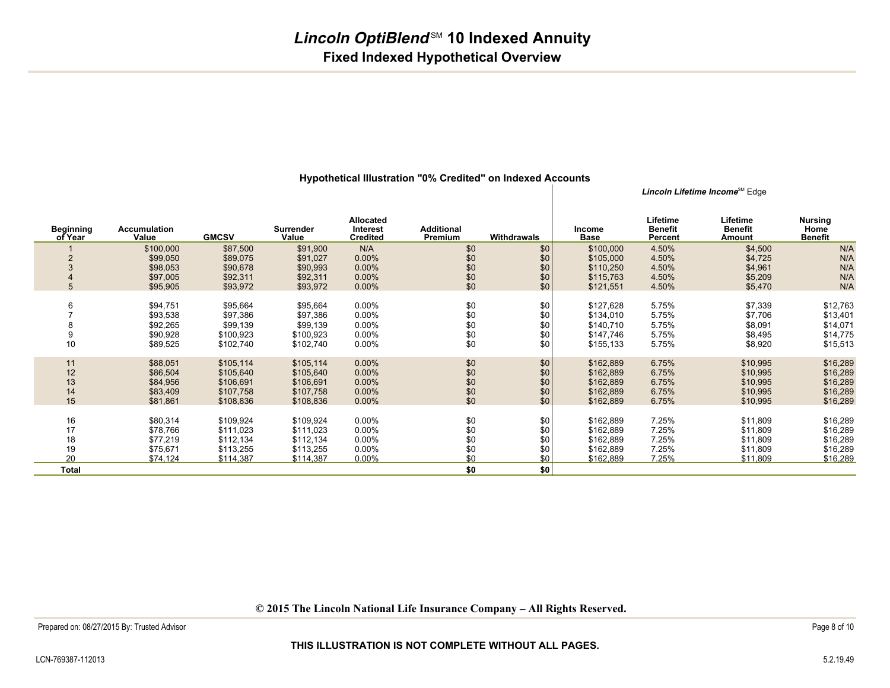|                             |                              |              |                           |                                          |                              |             |                              |                                       | Lincoln Lifetime Income <sup>sм</sup> Edge |                                          |
|-----------------------------|------------------------------|--------------|---------------------------|------------------------------------------|------------------------------|-------------|------------------------------|---------------------------------------|--------------------------------------------|------------------------------------------|
| <b>Beginning</b><br>of Year | <b>Accumulation</b><br>Value | <b>GMCSV</b> | <b>Surrender</b><br>Value | Allocated<br>Interest<br><b>Credited</b> | <b>Additional</b><br>Premium | Withdrawals | <b>Income</b><br><b>Base</b> | Lifetime<br><b>Benefit</b><br>Percent | Lifetime<br><b>Benefit</b><br>Amount       | <b>Nursing</b><br>Home<br><b>Benefit</b> |
|                             | \$100,000                    | \$87,500     | \$91,900                  | N/A                                      | \$0                          | \$0         | \$100,000                    | 4.50%                                 | \$4,500                                    | N/A                                      |
| $\overline{2}$              | \$99,050                     | \$89,075     | \$91,027                  | 0.00%                                    | \$0                          | \$0         | \$105,000                    | 4.50%                                 | \$4,725                                    | N/A                                      |
| 3                           | \$98,053                     | \$90,678     | \$90,993                  | $0.00\%$                                 | \$0                          | \$0         | \$110,250                    | 4.50%                                 | \$4,961                                    | N/A                                      |
|                             | \$97,005                     | \$92,311     | \$92,311                  | $0.00\%$                                 | \$0                          | \$0         | \$115,763                    | 4.50%                                 | \$5,209                                    | N/A                                      |
| 5                           | \$95,905                     | \$93,972     | \$93,972                  | 0.00%                                    | \$0                          | \$0         | \$121,551                    | 4.50%                                 | \$5,470                                    | N/A                                      |
|                             |                              |              |                           |                                          |                              |             |                              |                                       |                                            |                                          |
| 6                           | \$94,751                     | \$95,664     | \$95,664                  | $0.00\%$                                 | \$0                          | \$0         | \$127,628                    | 5.75%                                 | \$7,339                                    | \$12,763                                 |
|                             | \$93,538                     | \$97,386     | \$97,386                  | $0.00\%$                                 | \$0                          | \$0         | \$134,010                    | 5.75%                                 | \$7,706                                    | \$13,401                                 |
|                             | \$92,265                     | \$99,139     | \$99,139                  | $0.00\%$                                 |                              | \$0         | \$140,710                    | 5.75%                                 | \$8,091                                    | \$14,071                                 |
| 9                           | \$90,928                     | \$100,923    | \$100,923                 | $0.00\%$                                 | $$0$<br>$$0$                 | \$0         | \$147,746                    | 5.75%                                 | \$8,495                                    | \$14,775                                 |
| 10                          | \$89,525                     | \$102,740    | \$102,740                 | $0.00\%$                                 | \$0                          | \$0         | \$155,133                    | 5.75%                                 | \$8,920                                    | \$15,513                                 |
|                             |                              |              |                           |                                          |                              |             |                              |                                       |                                            |                                          |
| 11                          | \$88,051                     | \$105,114    | \$105,114                 | $0.00\%$                                 | \$0                          | \$0         | \$162,889                    | 6.75%                                 | \$10,995                                   | \$16,289                                 |
| 12                          | \$86,504                     | \$105,640    | \$105,640                 | 0.00%                                    | \$0                          | \$0         | \$162,889                    | 6.75%                                 | \$10,995                                   | \$16,289                                 |
| 13                          | \$84,956                     | \$106,691    | \$106,691                 | $0.00\%$                                 | $$0$$<br>$$0$                | \$0         | \$162,889                    | 6.75%                                 | \$10,995                                   | \$16,289                                 |
| 14                          | \$83,409                     | \$107,758    | \$107,758                 | $0.00\%$                                 |                              | \$0         | \$162,889                    | 6.75%                                 | \$10,995                                   | \$16,289                                 |
| 15                          | \$81,861                     | \$108,836    | \$108,836                 | $0.00\%$                                 | \$0                          | \$0         | \$162,889                    | 6.75%                                 | \$10,995                                   | \$16,289                                 |
|                             |                              |              |                           |                                          |                              |             |                              |                                       |                                            |                                          |
| 16                          | \$80,314                     | \$109,924    | \$109,924                 | $0.00\%$                                 | \$0                          | \$0         | \$162,889                    | 7.25%                                 | \$11,809                                   | \$16,289                                 |
| 17                          | \$78,766                     | \$111,023    | \$111,023                 | $0.00\%$                                 | \$0                          | \$0         | \$162,889                    | 7.25%                                 | \$11,809                                   | \$16,289                                 |
| 18                          | \$77,219                     | \$112,134    | \$112,134                 | $0.00\%$                                 | \$0                          | \$0         | \$162,889                    | 7.25%                                 | \$11,809                                   | \$16,289                                 |
| 19                          | \$75,671                     | \$113,255    | \$113,255                 | $0.00\%$                                 | \$0                          | \$0         | \$162,889                    | 7.25%                                 | \$11,809                                   | \$16,289                                 |
| 20                          | \$74,124                     | \$114,387    | \$114,387                 | $0.00\%$                                 | \$0                          | \$0         | \$162,889                    | 7.25%                                 | \$11,809                                   | \$16,289                                 |
| Total                       |                              |              |                           |                                          | \$0                          | \$0         |                              |                                       |                                            |                                          |
|                             |                              |              |                           |                                          |                              |             |                              |                                       |                                            |                                          |

#### **Hypothetical Illustration "0% Credited" on Indexed Accounts**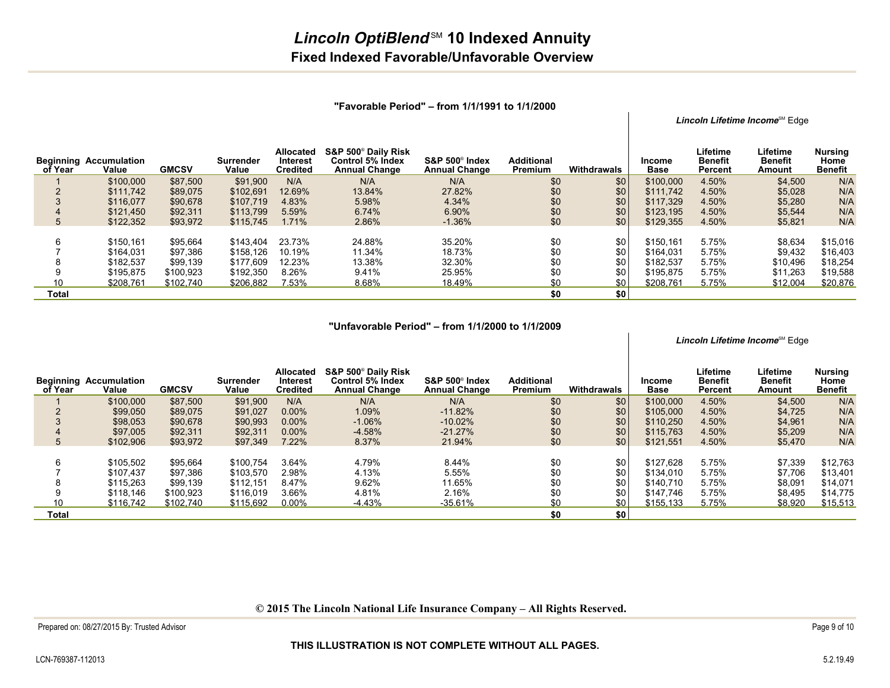|                             |                              |              |                    |                                                 |                                                                                    |                                                |                              |             |                       |                                       | Lincoln Lifetime Income <sup>™</sup> Edge |                                          |
|-----------------------------|------------------------------|--------------|--------------------|-------------------------------------------------|------------------------------------------------------------------------------------|------------------------------------------------|------------------------------|-------------|-----------------------|---------------------------------------|-------------------------------------------|------------------------------------------|
| <b>Beginning</b><br>of Year | <b>Accumulation</b><br>Value | <b>GMCSV</b> | Surrender<br>Value | <b>Allocated</b><br>Interest<br><b>Credited</b> | S&P 500 <sup>®</sup> Daily Risk<br><b>Control 5% Index</b><br><b>Annual Change</b> | $S\&P 500^\circ$ Index<br><b>Annual Change</b> | <b>Additional</b><br>Premium | Withdrawals | Income<br><b>Base</b> | Lifetime<br><b>Benefit</b><br>Percent | Lifetime<br><b>Benefit</b><br>Amount      | Nursing<br><b>Home</b><br><b>Benefit</b> |
|                             | \$100,000                    | \$87,500     | \$91,900           | N/A                                             | N/A                                                                                | N/A                                            | \$0                          | \$0         | \$100,000             | 4.50%                                 | \$4,500                                   | N/A                                      |
| $\mathcal{P}$               | \$111,742                    | \$89,075     | \$102,691          | 12.69%                                          | 13.84%                                                                             | 27.82%                                         | \$0                          | \$0         | \$111,742             | 4.50%                                 | \$5,028                                   | N/A                                      |
|                             | \$116,077                    | \$90,678     | \$107.719          | 4.83%                                           | 5.98%                                                                              | 4.34%                                          | \$0                          | \$0         | \$117,329             | 4.50%                                 | \$5,280                                   | N/A                                      |
| 4                           | \$121,450                    | \$92,311     | \$113.799          | 5.59%                                           | 6.74%                                                                              | 6.90%                                          | \$0                          | \$0         | \$123,195             | 4.50%                                 | \$5,544                                   | N/A                                      |
| 5                           | \$122,352                    | \$93,972     | \$115,745          | 1.71%                                           | 2.86%                                                                              | $-1.36%$                                       | \$0                          | \$0         | \$129,355             | 4.50%                                 | \$5,821                                   | N/A                                      |
| 6                           | \$150,161                    | \$95,664     | \$143.404          | 23.73%                                          | 24.88%                                                                             | 35.20%                                         | \$0                          | \$0         | \$150.161             | 5.75%                                 | \$8,634                                   | \$15,016                                 |
|                             | \$164,031                    | \$97,386     | \$158,126          | 10.19%                                          | 11.34%                                                                             | 18.73%                                         | \$0                          | \$0         | \$164.031             | 5.75%                                 | \$9,432                                   | \$16,403                                 |
| 8                           | \$182,537                    | \$99.139     | \$177,609          | 12.23%                                          | 13.38%                                                                             | 32.30%                                         | \$0                          | \$0         | \$182,537             | 5.75%                                 | \$10,496                                  | \$18,254                                 |
| 9                           | \$195.875                    | \$100,923    | \$192,350          | 8.26%                                           | 9.41%                                                                              | 25.95%                                         | \$0                          | \$0         | \$195,875             | 5.75%                                 | \$11,263                                  | \$19,588                                 |
| 10                          | \$208.761                    | \$102.740    | \$206,882          | 7.53%                                           | 8.68%                                                                              | 18.49%                                         | \$0                          | \$0         | \$208,761             | 5.75%                                 | \$12,004                                  | \$20,876                                 |
| Total                       |                              |              |                    |                                                 |                                                                                    |                                                | \$0                          | \$0         |                       |                                       |                                           |                                          |

#### **"Favorable Period" – from 1/1/1991 to 1/1/2000**

 $\overline{\phantom{a}}$ 

 $\mathbf{L}$ 

#### **"Unfavorable Period" – from 1/1/2000 to 1/1/2009**

|                |                                        |              |                    |                                          |                                                                 |                                                    |                              |                  |                       |                                       | Lincoln Lifetime Income <sup>™</sup> Edge |                                          |
|----------------|----------------------------------------|--------------|--------------------|------------------------------------------|-----------------------------------------------------------------|----------------------------------------------------|------------------------------|------------------|-----------------------|---------------------------------------|-------------------------------------------|------------------------------------------|
| of Year        | <b>Beginning Accumulation</b><br>Value | <b>GMCSV</b> | Surrender<br>Value | Allocated<br>Interest<br><b>Credited</b> | S&P 500° Daily Risk<br>Control 5% Index<br><b>Annual Change</b> | S&P 500 <sup>®</sup> Index<br><b>Annual Change</b> | <b>Additional</b><br>Premium | Withdrawals      | Income<br><b>Base</b> | Lifetime<br><b>Benefit</b><br>Percent | Lifetime<br><b>Benefit</b><br>Amount      | <b>Nursing</b><br>Home<br><b>Benefit</b> |
|                | \$100,000                              | \$87,500     | \$91,900           | N/A                                      | N/A                                                             | N/A                                                | \$0                          | \$0              | \$100,000             | 4.50%                                 | \$4,500                                   | N/A                                      |
| $\overline{2}$ | \$99,050                               | \$89,075     | \$91,027           | 0.00%                                    | 1.09%                                                           | $-11.82%$                                          | \$0                          | \$0              | \$105,000             | 4.50%                                 | \$4,725                                   | N/A                                      |
| 3              | \$98,053                               | \$90,678     | \$90,993           | $0.00\%$                                 | $-1.06%$                                                        | $-10.02%$                                          | \$0                          | \$0              | \$110.250             | 4.50%                                 | \$4,961                                   | N/A                                      |
| 4              | \$97,005                               | \$92,311     | \$92,311           | $0.00\%$                                 | $-4.58%$                                                        | $-21.27%$                                          | \$0                          | \$0              | \$115,763             | 4.50%                                 | \$5,209                                   | N/A                                      |
| 5              | \$102,906                              | \$93,972     | \$97,349           | 7.22%                                    | 8.37%                                                           | 21.94%                                             | \$0                          | \$0 <sub>1</sub> | \$121,551             | 4.50%                                 | \$5,470                                   | N/A                                      |
|                |                                        |              |                    |                                          |                                                                 |                                                    |                              |                  |                       |                                       |                                           |                                          |
| 6              | \$105,502                              | \$95,664     | \$100.754          | 3.64%                                    | 4.79%                                                           | 8.44%                                              | \$0                          | \$0              | \$127,628             | 5.75%                                 | \$7,339                                   | \$12,763                                 |
|                | \$107,437                              | \$97,386     | \$103,570          | 2.98%                                    | 4.13%                                                           | 5.55%                                              | \$0                          | \$0              | \$134.010             | 5.75%                                 | \$7,706                                   | \$13,401                                 |
| 8              | \$115,263                              | \$99,139     | \$112.151          | 8.47%                                    | 9.62%                                                           | 11.65%                                             | \$0                          | \$0              | \$140.710             | 5.75%                                 | \$8,091                                   | \$14,071                                 |
| 9              | \$118,146                              | \$100.923    | \$116,019          | 3.66%                                    | 4.81%                                                           | 2.16%                                              | \$0                          | \$0              | \$147.746             | 5.75%                                 | \$8,495                                   | \$14,775                                 |
| 10             | \$116,742                              | \$102.740    | \$115,692          | 0.00%                                    | $-4.43%$                                                        | $-35.61%$                                          | \$0                          | \$0              | \$155,133             | 5.75%                                 | \$8,920                                   | \$15,513                                 |
| Total          |                                        |              |                    |                                          |                                                                 |                                                    | \$0                          | \$0              |                       |                                       |                                           |                                          |

**© 2015 The Lincoln National Life Insurance Company – All Rights Reserved.**

#### **THIS ILLUSTRATION IS NOT COMPLETE WITHOUT ALL PAGES.**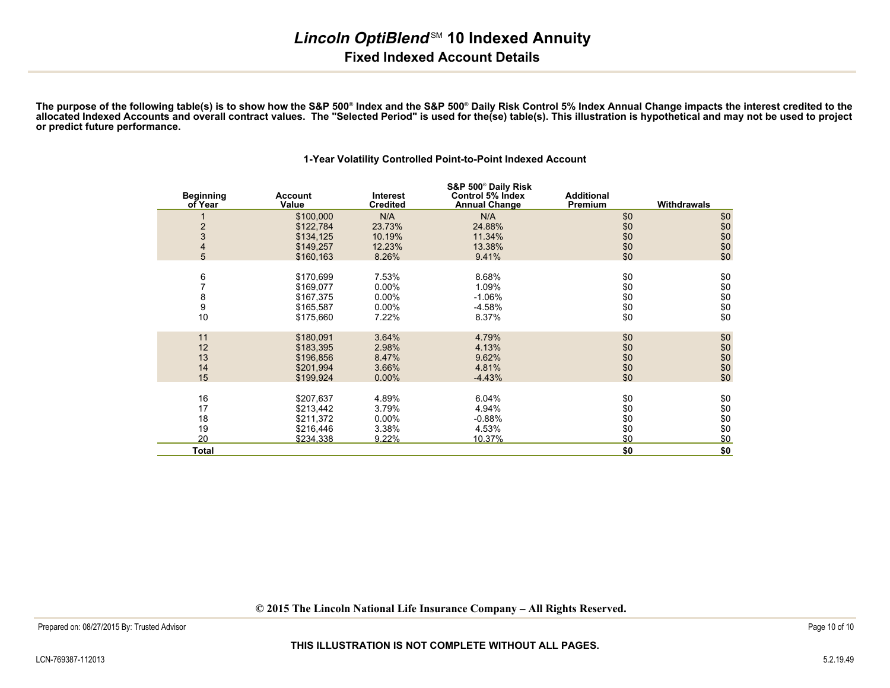### **Lincoln OptiBlend<sup>SM</sup> 10 Indexed Annuity Fixed Indexed Account Details**

**The purpose of the following table(s) is to show how the S&P 500**® **Index and the S&P 500**® **Daily Risk Control 5% Index Annual Change impacts the interest credited to the allocated Indexed Accounts and overall contract values. The "Selected Period" is used for the(se) table(s). This illustration is hypothetical and may not be used to projector predict future performance.**

**1-Year Volatility Controlled Point-to-Point Indexed Account**

#### **Beginning of Year AccountValue**1 \$100,000 N/A  **Interest Credited S&P 500**® **Daily Risk Control 5% Index Annual Change Additional PremiumWithdrawals**<br>\$0 N/A \$0 \$0 \$122,784 23.73%% 24.88% \$0 \$0 \$0<br>% 11.34% \$0 \$0 \$0 \$0 \$0 \$0

| Total |           |          |          | \$0 | \$0 |
|-------|-----------|----------|----------|-----|-----|
| 20    | \$234,338 | 9.22%    | 10.37%   | \$0 | \$0 |
| 19    | \$216,446 | 3.38%    | 4.53%    | \$0 | \$0 |
| 18    | \$211,372 | $0.00\%$ | $-0.88%$ | \$0 | \$0 |
| 17    | \$213,442 | 3.79%    | 4.94%    | \$0 | \$0 |
| 16    | \$207,637 | 4.89%    | 6.04%    | \$0 | \$0 |
| 15    | \$199,924 | $0.00\%$ | $-4.43%$ | \$0 | \$0 |
| 14    | \$201,994 | 3.66%    | 4.81%    | \$0 | \$0 |
| 13    | \$196,856 | 8.47%    | 9.62%    | \$0 | \$0 |
| 12    | \$183,395 | 2.98%    | 4.13%    | \$0 | \$0 |
| 11    | \$180,091 | 3.64%    | 4.79%    | \$0 | \$0 |
| 10    | \$175,660 | 7.22%    | 8.37%    | \$0 | \$0 |
| 9     | \$165,587 | $0.00\%$ | -4.58%   | \$0 | \$0 |
| 8     | \$167,375 | $0.00\%$ | $-1.06%$ | \$0 | \$0 |
|       | \$169,077 | $0.00\%$ | 1.09%    | \$0 | \$0 |
| 6     | \$170,699 | 7.53%    | 8.68%    | \$0 | \$0 |
| 5     | \$160,163 | 8.26%    | 9.41%    | \$0 | \$0 |
| 4     | \$149,257 | 12.23%   | 13.38%   | \$0 | \$0 |
| 3     | \$134,125 | 10.19%   | 11.34%   | \$0 | \$0 |
| 2     | \$122,784 | 23.73%   | 24.88%   | \$0 | \$0 |

**© 2015 The Lincoln National Life Insurance Company – All Rights Reserved.**

1